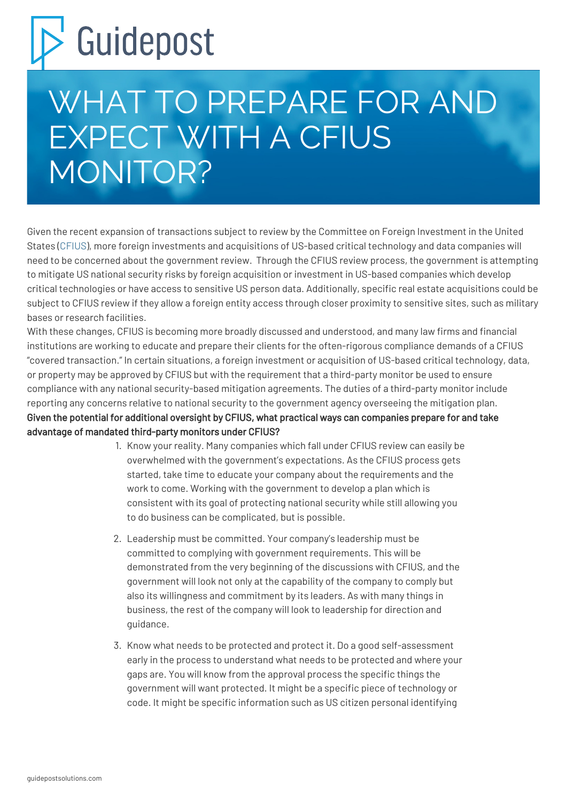## Guidepost

## WHAT TO PREPARE FOR AND EXPECT WITH A CFIUS MONITOR?

Given the recent expansion of transactions subject to review by the Committee on Foreign Investment in the United States ([CFIUS\)](https://home.treasury.gov/policy-issues/international/the-committee-on-foreign-investment-in-the-united-states-cfius), more foreign investments and acquisitions of US-based critical technology and data companies will need to be concerned about the government review. Through the CFIUS review process, the government is attempting to mitigate US national security risks by foreign acquisition or investment in US-based companies which develop critical technologies or have access to sensitive US person data. Additionally, specific real estate acquisitions could be subject to CFIUS review if they allow a foreign entity access through closer proximity to sensitive sites, such as military bases or research facilities.

With these changes, CFIUS is becoming more broadly discussed and understood, and many law firms and financial institutions are working to educate and prepare their clients for the often-rigorous compliance demands of a CFIUS "covered transaction." In certain situations, a foreign investment or acquisition of US-based critical technology, data, or property may be approved by CFIUS but with the requirement that a third-party monitor be used to ensure compliance with any national security-based mitigation agreements. The duties of a third-party monitor include reporting any concerns relative to national security to the government agency overseeing the mitigation plan. Given the potential for additional oversight by CFIUS, what practical ways can companies prepare for and take advantage of mandated third-party monitors under CFIUS?

- 1. Know your reality. Many companies which fall under CFIUS review can easily be overwhelmed with the government's expectations. As the CFIUS process gets started, take time to educate your company about the requirements and the work to come. Working with the government to develop a plan which is consistent with its goal of protecting national security while still allowing you to do business can be complicated, but is possible.
- 2. Leadership must be committed. Your company's leadership must be committed to complying with government requirements. This will be demonstrated from the very beginning of the discussions with CFIUS, and the government will look not only at the capability of the company to comply but also its willingness and commitment by its leaders. As with many things in business, the rest of the company will look to leadership for direction and guidance.
- 3. Know what needs to be protected and protect it. Do a good self-assessment early in the process to understand what needs to be protected and where your gaps are. You will know from the approval process the specific things the government will want protected. It might be a specific piece of technology or code. It might be specific information such as US citizen personal identifying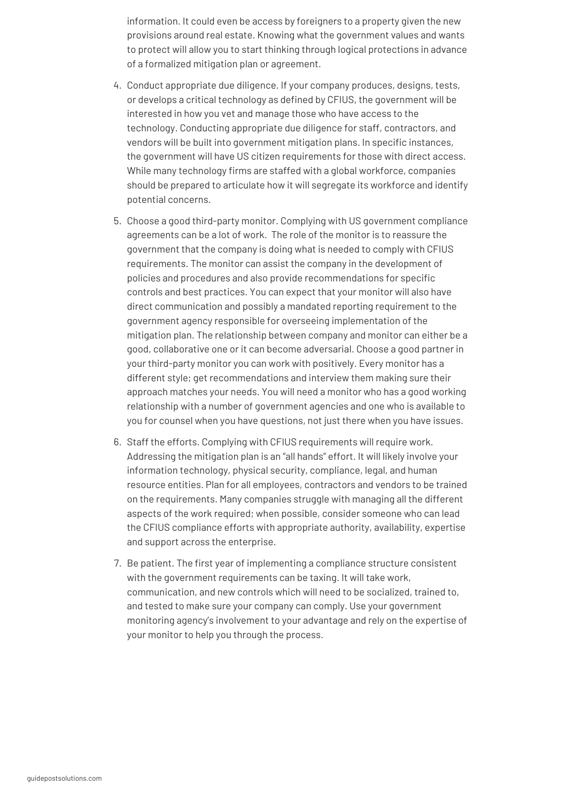information. It could even be access by foreigners to a property given the new provisions around real estate. Knowing what the government values and wants to protect will allow you to start thinking through logical protections in advance of a formalized mitigation plan or agreement.

- 4. Conduct appropriate due diligence. If your company produces, designs, tests, or develops a critical technology as defined by CFIUS, the government will be interested in how you vet and manage those who have access to the technology. Conducting appropriate due diligence for staff, contractors, and vendors will be built into government mitigation plans. In specific instances, the government will have US citizen requirements for those with direct access. While many technology firms are staffed with a global workforce, companies should be prepared to articulate how it will segregate its workforce and identify potential concerns.
- 5. Choose a good third-party monitor. Complying with US government compliance agreements can be a lot of work. The role of the monitor is to reassure the government that the company is doing what is needed to comply with CFIUS requirements. The monitor can assist the company in the development of policies and procedures and also provide recommendations for specific controls and best practices. You can expect that your monitor will also have direct communication and possibly a mandated reporting requirement to the government agency responsible for overseeing implementation of the mitigation plan. The relationship between company and monitor can either be a good, collaborative one or it can become adversarial. Choose a good partner in your third-party monitor you can work with positively. Every monitor has a different style; get recommendations and interview them making sure their approach matches your needs. You will need a monitor who has a good working relationship with a number of government agencies and one who is available to you for counsel when you have questions, not just there when you have issues.
- 6. Staff the efforts. Complying with CFIUS requirements will require work. Addressing the mitigation plan is an "all hands" effort. It will likely involve your information technology, physical security, compliance, legal, and human resource entities. Plan for all employees, contractors and vendors to be trained on the requirements. Many companies struggle with managing all the different aspects of the work required; when possible, consider someone who can lead the CFIUS compliance efforts with appropriate authority, availability, expertise and support across the enterprise.
- 7. Be patient. The first year of implementing a compliance structure consistent with the government requirements can be taxing. It will take work, communication, and new controls which will need to be socialized, trained to, and tested to make sure your company can comply. Use your government monitoring agency's involvement to your advantage and rely on the expertise of your monitor to help you through the process.